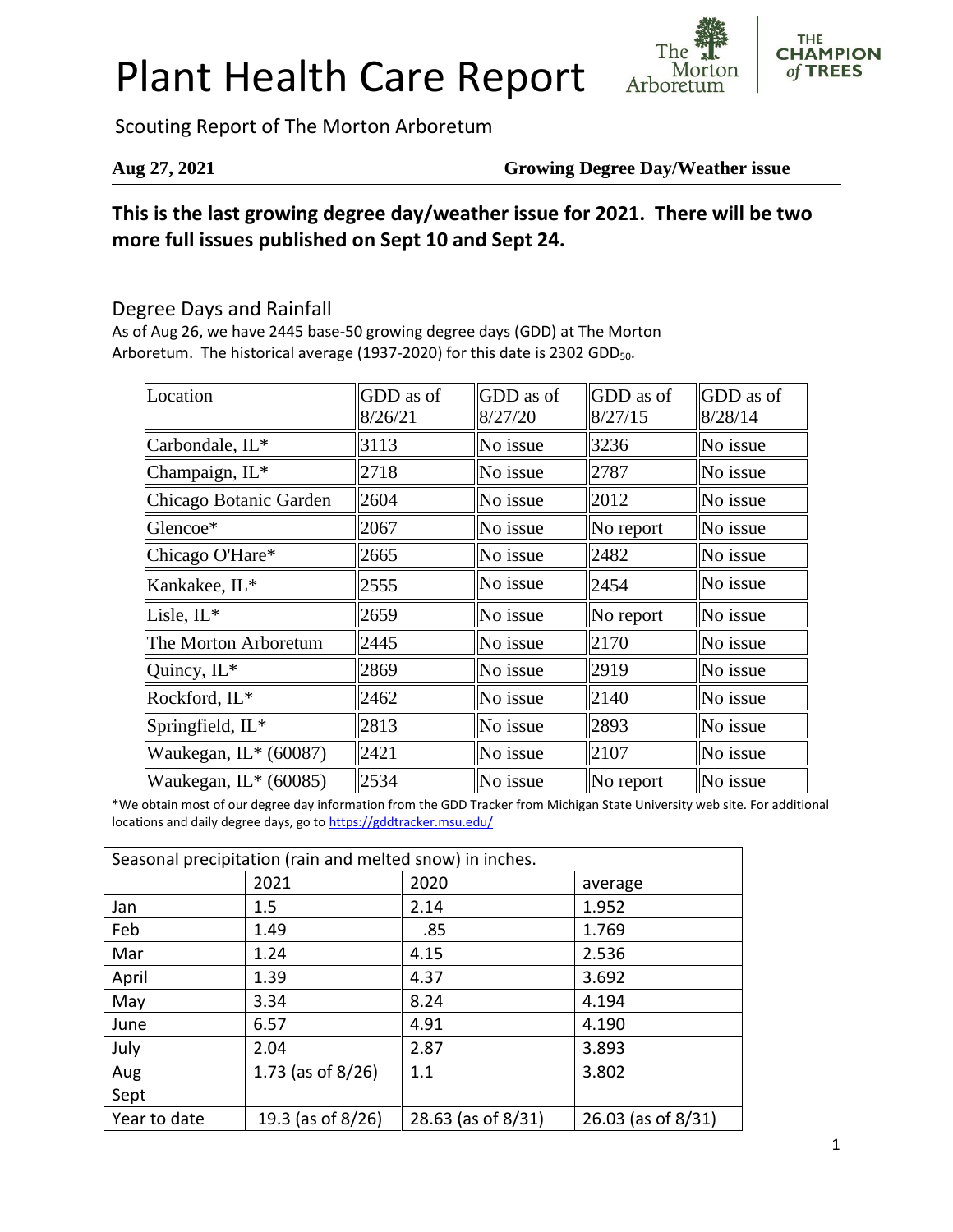# Plant Health Care Report



**THE CHAMPION** of TREES

Scouting Report of The Morton Arboretum

**Aug 27, 2021 Growing Degree Day/Weather issue**

# **This is the last growing degree day/weather issue for 2021. There will be two more full issues published on Sept 10 and Sept 24.**

### Degree Days and Rainfall

As of Aug 26, we have 2445 base-50 growing degree days (GDD) at The Morton Arboretum. The historical average (1937-2020) for this date is 2302 GDD<sub>50</sub>.

| Location               | GDD as of<br>8/26/21 | GDD as of<br>8/27/20 | GDD as of<br>8/27/15 | GDD as of<br>8/28/14 |
|------------------------|----------------------|----------------------|----------------------|----------------------|
| Carbondale, IL*        | 3113                 | No issue             | 3236                 | No issue             |
| Champaign, IL*         | 2718                 | No issue             | 2787                 | No issue             |
| Chicago Botanic Garden | 2604                 | No issue             | 2012                 | No issue             |
| Glencoe*               | 2067                 | No issue             | $\ $ No report       | No issue             |
| Chicago O'Hare*        | 2665                 | No issue             | 2482                 | No issue             |
| Kankakee, IL*          | 2555                 | No issue             | 2454                 | No issue             |
| Lisle, IL*             | 2659                 | No issue             | $\ $ No report       | No issue             |
| The Morton Arboretum   | 2445                 | No issue             | 2170                 | No issue             |
| Quincy, IL*            | 2869                 | No issue             | 2919                 | No issue             |
| Rockford, IL*          | 2462                 | No issue             | 2140                 | No issue             |
| Springfield, IL*       | 2813                 | No issue             | 2893                 | No issue             |
| Waukegan, $IL*(60087)$ | 2421                 | No issue             | 2107                 | No issue             |
| Waukegan, $IL*(60085)$ | 2534                 | No issue             | No report            | No issue             |

\*We obtain most of our degree day information from the GDD Tracker from Michigan State University web site. For additional locations and daily degree days, go to <https://gddtracker.msu.edu/>

| Seasonal precipitation (rain and melted snow) in inches. |                      |                    |                    |  |  |  |
|----------------------------------------------------------|----------------------|--------------------|--------------------|--|--|--|
|                                                          | 2021                 | 2020               | average            |  |  |  |
| Jan                                                      | 1.5                  | 2.14               | 1.952              |  |  |  |
| Feb                                                      | 1.49                 | .85                | 1.769              |  |  |  |
| Mar                                                      | 1.24                 | 4.15               | 2.536              |  |  |  |
| April                                                    | 1.39                 | 4.37               | 3.692              |  |  |  |
| May                                                      | 3.34                 | 8.24               | 4.194              |  |  |  |
| June                                                     | 6.57                 | 4.91               | 4.190              |  |  |  |
| July                                                     | 2.04                 | 2.87               | 3.893              |  |  |  |
| Aug                                                      | 1.73 (as of $8/26$ ) | 1.1                | 3.802              |  |  |  |
| Sept                                                     |                      |                    |                    |  |  |  |
| Year to date                                             | 19.3 (as of 8/26)    | 28.63 (as of 8/31) | 26.03 (as of 8/31) |  |  |  |